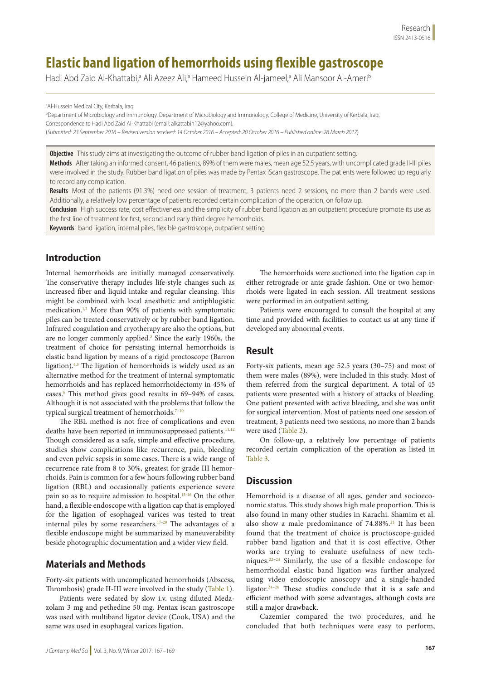# **Elastic band ligation of hemorrhoids using flexible gastroscope**

Hadi Abd Zaid Al-Khattabi,ª Ali Azeez Ali,ª Hameed Hussein Al-jameel,ª Ali Mansoor Al-Ameri<sup>b</sup>

a Al-Hussein Medical City, Kerbala, Iraq.

b Department of Microbiology and Immunology, Department of Microbiology and Immunology, College of Medicine, University of Kerbala, Iraq. Correspondence to Hadi Abd Zaid Al-Khattabi (email: alkattabih12@yahoo.com). (*Submitted: 23 September 2016 – Revised version received: 14 October 2016 – Accepted: 20 October 2016 – Published online: 26 March 2017*)

**Objective** This study aims at investigating the outcome of rubber band ligation of piles in an outpatient setting.

**Methods** After taking an informed consent, 46 patients, 89% of them were males, mean age 52.5 years, with uncomplicated grade II-III piles were involved in the study. Rubber band ligation of piles was made by Pentax iScan gastroscope. The patients were followed up regularly to record any complication.

**Results** Most of the patients (91.3%) need one session of treatment, 3 patients need 2 sessions, no more than 2 bands were used. Additionally, a relatively low percentage of patients recorded certain complication of the operation, on follow up.

**Conclusion** High success rate, cost effectiveness and the simplicity of rubber band ligation as an outpatient procedure promote its use as the first line of treatment for first, second and early third degree hemorrhoids.

**Keywords** band ligation, internal piles, flexible gastroscope, outpatient setting

## **Introduction**

Internal hemorrhoids are initially managed conservatively. The conservative therapy includes life-style changes such as increased fiber and liquid intake and regular cleansing. This might be combined with local anesthetic and antiphlogistic medication.<sup>1,2</sup> More than 90% of patients with symptomatic piles can be treated conservatively or by rubber band ligation. Infrared coagulation and cryotherapy are also the options, but are no longer commonly applied.<sup>3</sup> Since the early 1960s, the treatment of choice for persisting internal hemorrhoids is elastic band ligation by means of a rigid proctoscope (Barron ligation).<sup>4,5</sup> The ligation of hemorrhoids is widely used as an alternative method for the treatment of internal symptomatic hemorrhoids and has replaced hemorrhoidectomy in 45% of cases.6 This method gives good results in 69–94% of cases. Although it is not associated with the problems that follow the typical surgical treatment of hemorrhoids.<sup>7-10</sup>

The RBL method is not free of complications and even deaths have been reported in immunosuppressed patients.<sup>11,12</sup> Though considered as a safe, simple and effective procedure, studies show complications like recurrence, pain, bleeding and even pelvic sepsis in some cases. There is a wide range of recurrence rate from 8 to 30%, greatest for grade III hemorrhoids. Pain is common for a few hours following rubber band ligation (RBL) and occasionally patients experience severe pain so as to require admission to hospital.13-16 On the other hand, a flexible endoscope with a ligation cap that is employed for the ligation of esophageal varices was tested to treat internal piles by some researchers.17-20 The advantages of a flexible endoscope might be summarized by maneuverability beside photographic documentation and a wider view field.

## **Materials and Methods**

Forty-six patients with uncomplicated hemorrhoids (Abscess, Thrombosis) grade II-III were involved in the study (Table 1).

Patients were sedated by slow i.v. using diluted Medazolam 3 mg and pethedine 50 mg. Pentax iscan gastroscope was used with multiband ligator device (Cook, USA) and the same was used in esophageal varices ligation.

The hemorrhoids were suctioned into the ligation cap in either retrograde or ante grade fashion. One or two hemorrhoids were ligated in each session. All treatment sessions were performed in an outpatient setting.

Patients were encouraged to consult the hospital at any time and provided with facilities to contact us at any time if developed any abnormal events.

### **Result**

Forty-six patients, mean age 52.5 years (30–75) and most of them were males (89%), were included in this study. Most of them referred from the surgical department. A total of 45 patients were presented with a history of attacks of bleeding. One patient presented with active bleeding, and she was unfit for surgical intervention. Most of patients need one session of treatment, 3 patients need two sessions, no more than 2 bands were used (Table 2).

On follow-up, a relatively low percentage of patients recorded certain complication of the operation as listed in Table 3.

## **Discussion**

Hemorrhoid is a disease of all ages, gender and socioeconomic status. This study shows high male proportion. This is also found in many other studies in Karachi. Shamim et al. also show a male predominance of  $74.88\%$ <sup>21</sup> It has been found that the treatment of choice is proctoscope-guided rubber band ligation and that it is cost effective. Other works are trying to evaluate usefulness of new techniques. 22–24 Similarly, the use of a flexible endoscope for hemorrhoidal elastic band ligation was further analyzed using video endoscopic anoscopy and a single-handed ligator.24–26 These studies conclude that it is a safe and efficient method with some advantages, although costs are still a major drawback.

Cazemier compared the two procedures, and he concluded that both techniques were easy to perform,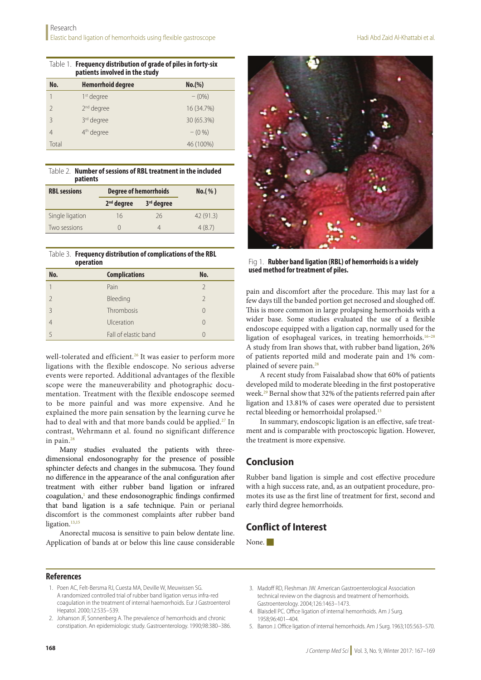|                                | Table 1. <b>Frequency distribution of grade of piles in forty-six</b> |  |
|--------------------------------|-----------------------------------------------------------------------|--|
| patients involved in the study |                                                                       |  |

| No.           | <b>Hemorrhoid degree</b> | No.(%)     |
|---------------|--------------------------|------------|
|               | 1 <sup>st</sup> degree   | $-(0\%)$   |
| $\mathcal{P}$ | 2 <sup>nd</sup> degree   | 16 (34.7%) |
| 3             | 3 <sup>rd</sup> degree   | 30 (65.3%) |
| 4             | 4 <sup>th</sup> degree   | $-$ (0 %)  |
| Total         |                          | 46 (100%)  |

Table 2. **Number of sessions of RBL treatment in the included patients**

| <b>RBL</b> sessions | <b>Degree of hemorrhoids</b> |                        | $No.$ (%) |
|---------------------|------------------------------|------------------------|-----------|
|                     | 2 <sup>nd</sup> degree       | 3 <sup>rd</sup> degree |           |
| Single ligation     | 16                           | 26                     | 42(91.3)  |
| Two sessions        |                              |                        | 4(8.7)    |

#### Table 3. **Frequency distribution of complications of the RBL operation**

| No.           | <b>Complications</b> | No.           |
|---------------|----------------------|---------------|
|               | Pain                 | $\mathcal{P}$ |
| $\mathcal{L}$ | Bleeding             | $\mathcal{P}$ |
| 3             | Thrombosis           | 0             |
|               | Ulceration           | 0             |
|               | Fall of elastic band |               |

well-tolerated and efficient.<sup>26</sup> It was easier to perform more ligations with the flexible endoscope. No serious adverse events were reported. Additional advantages of the flexible scope were the maneuverability and photographic documentation. Treatment with the flexible endoscope seemed to be more painful and was more expensive. And he explained the more pain sensation by the learning curve he had to deal with and that more bands could be applied.<sup>27</sup> In contrast, Wehrmann et al. found no significant difference in pain.28

Many studies evaluated the patients with threedimensional endosonography for the presence of possible sphincter defects and changes in the submucosa. They found no difference in the appearance of the anal configuration after treatment with either rubber band ligation or infrared coagulation,<sup>1</sup> and these endosonographic findings confirmed that band ligation is a safe technique. Pain or perianal discomfort is the commonest complaints after rubber band ligation.<sup>13,15</sup>

Anorectal mucosa is sensitive to pain below dentate line. Application of bands at or below this line cause considerable



Fig 1. **Rubber band ligation (RBL) of hemorrhoids is a widely used method for treatment of piles.**

pain and discomfort after the procedure. This may last for a few days till the banded portion get necrosed and sloughed off. This is more common in large prolapsing hemorrhoids with a wider base. Some studies evaluated the use of a flexible endoscope equipped with a ligation cap, normally used for the ligation of esophageal varices, in treating hemorrhoids.<sup>16-28</sup> A study from Iran shows that, with rubber band ligation, 26% of patients reported mild and moderate pain and 1% complained of severe pain.<sup>28</sup>

A recent study from Faisalabad show that 60% of patients developed mild to moderate bleeding in the first postoperative week.29 Bernal show that 32% of the patients referred pain after ligation and 13.81% of cases were operated due to persistent rectal bleeding or hemorrhoidal prolapsed.<sup>13</sup>

In summary, endoscopic ligation is an effective, safe treatment and is comparable with proctoscopic ligation. However, the treatment is more expensive.

## **Conclusion**

Rubber band ligation is simple and cost effective procedure with a high success rate, and, as an outpatient procedure, promotes its use as the first line of treatment for first, second and early third degree hemorrhoids.

## **Conflict of Interest**

None. $\blacksquare$ 

#### **References**

- 1. Poen AC, Felt-Bersma RJ, Cuesta MA, Deville W, Meuwissen SG. A randomized controlled trial of rubber band ligation versus infra-red coagulation in the treatment of internal haemorrhoids. Eur J Gastroenterol Hepatol. 2000;12:535–539.
- 2. Johanson JF, Sonnenberg A. The prevalence of hemorrhoids and chronic constipation. An epidemiologic study. Gastroenterology. 1990;98:380–386.
- 3. Madoff RD, Fleshman JW. American Gastroenterological Association technical review on the diagnosis and treatment of hemorrhoids. Gastroenterology. 2004;126:1463–1473.
- 4. Blaisdell PC. Office ligation of internal hemorrhoids. Am J Surg. 1958;96:401–404.
- 5. Barron J. Office ligation of internal hemorrhoids. Am J Surg. 1963;105:563–570.